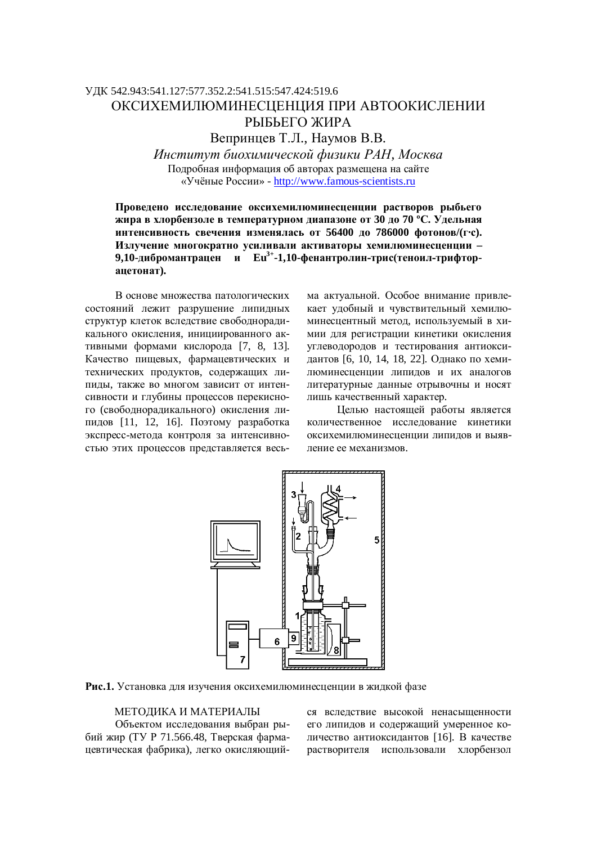## ɍȾɄ 542.943:541.127:577.352.2:541.515:547.424:519.6 ОКСИХЕМИЛЮМИНЕСЦЕНЦИЯ ПРИ АВТООКИСЛЕНИИ РЫБЬЕГО ЖИРА Вепринцев Т.Л., Наумов В.В.

*ɂɧɫɬɢɬɭɬɛɢɨɯɢɦɢɱɟɫɤɨɣɮɢɡɢɤɢɊȺɇ, Ɇɨɫɤɜɚ* Подробная информация об авторах размещена на сайте «Учёные России» - http://www.famous-scientists.ru

Проведено исследование оксихемилюминесценции растворов рыбьего ЖИРА В ХЛОРОСЕНЗОЛЕ В ТЕМПЕРАТУРНОМ ДИАПАЗОНЕ ОТ 30 ДО 70 °С. УДЕЛЬНАЯ ИНТЕНСИВНОСТЬ СВЕЧЕНИЯ ИЗМЕНЯЛАСЬ ОТ 56400 ДО 786000 фОТОНОВ/(ГС). Излучение многократно усиливали активаторы хемилюминесценции -9,10-дибромантрацен и Еu<sup>3+</sup>-1,10-фенантролин-трис(теноил-трифтор**ацетонат).** 

В основе множества патологических состояний лежит разрушение липидных структур клеток вследствие свободнорадикального окисления, инициированного активными формами кислорода [7, 8, 13]. Качество пищевых, фармацевтических и технических продуктов, содержащих липиды, также во многом зависит от интенсивности и глубины процессов перекисного (свободнорадикального) окисления липидов [11, 12, 16]. Поэтому разработка экспресс-метода контроля за интенсивностью этих процессов представляется весьма актуальной. Особое внимание привлекает удобный и чувствительный хемилюминесцентный метод, используемый в химии для регистрации кинетики окисления VГЛЕВОДОРОДОВ И ТЕСТИРОВАНИЯ АНТИОКСИдантов [6, 10, 14, 18, 22]. Однако по хемилюминесценции липилов и их аналогов литературные данные отрывочны и носят лишь качественный характер.

Целью настоящей работы является количественное исследование кинетики оксихемилюминесценции липилов и выявление ее механизмов.



Рис.1. Установка для изучения оксихемилюминесценции в жидкой фазе

## МЕТОДИКА И МАТЕРИАЛЫ

Объектом исследования выбран рыбий жир (ТУ Р 71.566.48, Тверская фармацевтическая фабрика), легко окисляющийся вследствие высокой ненасыщенности его липидов и содержащий умеренное количество антиоксидантов [16]. В качестве растворителя использовали хлорбензол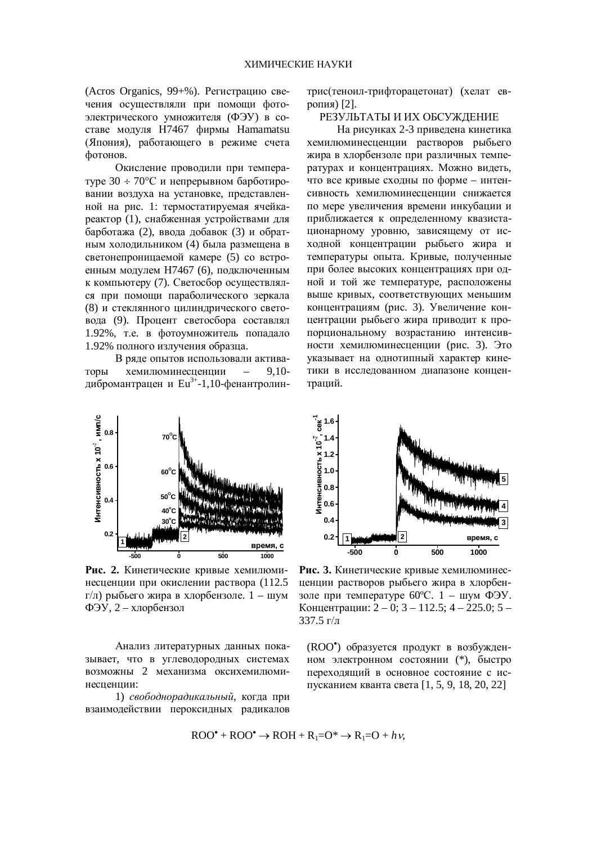(Acros Organics, 99+%). Регистрацию свечения осуществляли при помощи фотоэлектрического умножителя (ФЭУ) в составе модуля H7467 фирмы Hamamatsu (Япония), работающего в режиме счета фотонов.

Окисление проводили при температуре  $30 \div 70^{\circ}$ С и непрерывном барботировании воздуха на установке, представленной на рис. 1: термостатируемая ячейкареактор (1), снабженная устройствами для барботажа (2), ввода добавок (3) и обратным холодильником (4) была размещена в светонепроницаемой камере (5) со встроенным молулем Н7467 (6), полключенным к компьютеру (7). Светосбор осуществлялся при помощи параболического зеркала (8) и стеклянного цилиндрического световода (9). Процент светосбора составлял 1.92%, т.е. в фотоумножитель попадало 1.92% полного излучения образца.

В ряде опытов использовали активаторы хемилюминесценции – 9,10дибромантрацен и Eu<sup>3+</sup>-1,10-фенантролин-



Рис. 2. Кинетические кривые хемилюминесценции при окислении раствора (112.5 г/л) рыбьего жира в хлорбензоле.  $1 - \text{mym}$ ФЭУ, 2 – хлорбензол

Анализ литературных данных показывает, что в углеводородных системах возможны 2 механизма оксихемилюминеспеннии:

1) *свободнорадикальный*, когда при взаимодействии пероксидных радикалов трис(теноил-трифторацетонат) (хелат европия)  $[2]$ .

РЕЗУЛЬТАТЫ И ИХ ОБСУЖЛЕНИЕ

На рисунках 2-3 приведена кинетика хемилюминесценции растворов рыбьего жира в хлорбензоле при различных температурах и концентрациях. Можно видеть, что все кривые сходны по форме – интенсивность хемилюминесценции снижается по мере увеличения времени инкубации и приближается к определенному квазистационарному уровню, зависящему от исходной концентрации рыбьего жира и температуры опыта. Кривые, полученные при более высоких концентрациях при одной и той же температуре, расположены выше кривых, соответствующих меньшим концентрациям (рис. 3). Увеличение концентрации рыбьего жира приводит к пропорциональному возрастанию интенсивности хемилюминесценции (рис. 3). Это указывает на однотипный характер кинетики в исследованном диапазоне концентраций.



Рис. 3. Кинетические кривые хемилюминесценции растворов рыбьего жира в хлорбензоле при температуре  $60^{\circ}$ С. 1 – шум ФЭУ. Концентрации:  $2 - 0$ ; 3 – 112.5; 4 – 225.0; 5 –  $337.5 \frac{\Gamma}{\pi}$ 

(ROO<sup>\*</sup>) образуется продукт в возбужденном электронном состоянии (\*), быстро переходящий в основное состояние с испусканием кванта света [1, 5, 9, 18, 20, 22]

$$
ROO^{\bullet} + ROO^{\bullet} \to ROH + R_1 = O^{\ast} \to R_1 = O + h\nu,
$$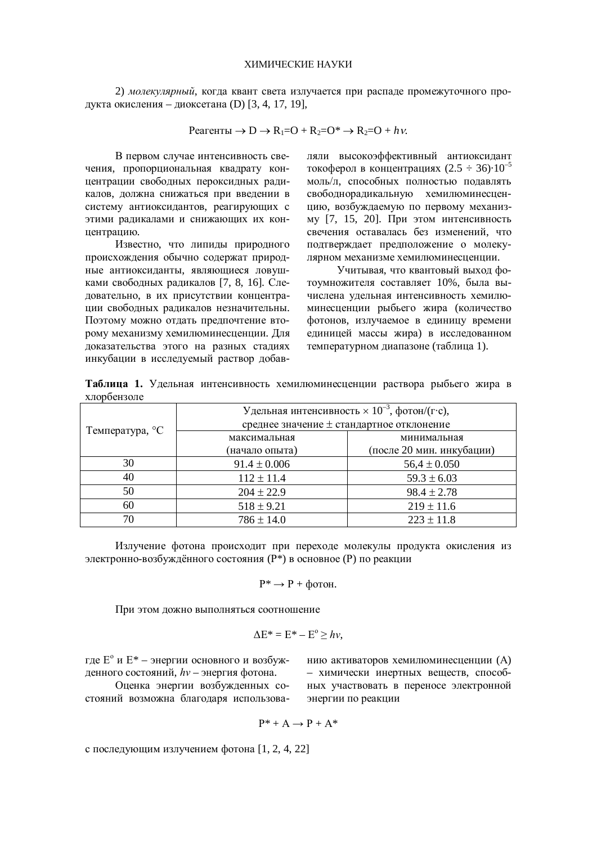2) молекулярный, когда квант света излучается при распаде промежуточного продукта окисления – диоксетана (D) [3, 4, 17, 19],

$$
Pearehtmi \to D \to R_1 = O + R_2 = O^* \to R_2 = O + h\nu.
$$

В первом случае интенсивность свечения, пропорциональная квадрату концентрации свободных пероксидных радикалов, должна снижаться при введении в систему антиоксидантов, реагирующих с этими радикалами и снижающих их концентрацию.

Известно, что липиды природного происхождения обычно содержат природные антиоксиданты, являющиеся ловушками свободных радикалов [7, 8, 16]. Следовательно, в их присутствии концентрации свободных радикалов незначительны. Поэтому можно отдать предпочтение второму механизму хемилюминесценции. Для доказательства этого на разных стадиях инкубации в исследуемый раствор добавляли высокоэффективный антиоксидант токоферол в концентрациях (2.5 ÷ 36) $\cdot 10^{-5}$ моль/л, способных полностью подавлять свободнорадикальную хемилюминесценцию, возбуждаемую по первому механизму [7, 15, 20]. При этом интенсивность свечения оставалась без изменений, что подтверждает предположение о молекулярном механизме хемилюминесценции.

Учитывая, что квантовый выхол фотоумножителя составляет 10%, была вычислена удельная интенсивность хемилюминесценции рыбьего жира (количество фотонов, излучаемое в единицу времени единицей массы жира) в исследованном температурном диапазоне (таблица 1).

Таблица 1. Удельная интенсивность хемилюминесценции раствора рыбьего жира в хлорбензоле

| Температура, °С | Удельная интенсивность $\times 10^{-3}$ , фотон/(г·с), |                           |
|-----------------|--------------------------------------------------------|---------------------------|
|                 | среднее значение ± стандартное отклонение              |                           |
|                 | максимальная                                           | минимальная               |
|                 | (начало опыта)                                         | (после 20 мин. инкубации) |
| 30              | $91.4 \pm 0.006$                                       | $56.4 \pm 0.050$          |
| 40              | $112 \pm 11.4$                                         | $59.3 \pm 6.03$           |
| 50              | $204 \pm 22.9$                                         | $98.4 \pm 2.78$           |
| 60              | $518 \pm 9.21$                                         | $219 \pm 11.6$            |
| 70              | $786 \pm 14.0$                                         | $223 \pm 11.8$            |

Излучение фотона происходит при переходе молекулы продукта окисления из электронно-возбуждённого состояния (Р\*) в основное (Р) по реакции

$$
P^* \to P + \phi \text{ot } H.
$$

При этом дожно выполняться соотношение

$$
\Delta E^* = E^* - E^{\circ} \ge hv,
$$

где  $E^{\circ}$  и  $E^{*}$  – энергии основного и возбужденного состояний,  $hv$  – энергия фотона.

Оценка энергии возбужденных состояний возможна благодаря использованию активаторов хемилюминесценции (А) – химически инертных веществ, способных участвовать в переносе электронной энергии по реакции

$$
P^\ast + A \to P + A^\ast
$$

с последующим излучением фотона [1, 2, 4, 22]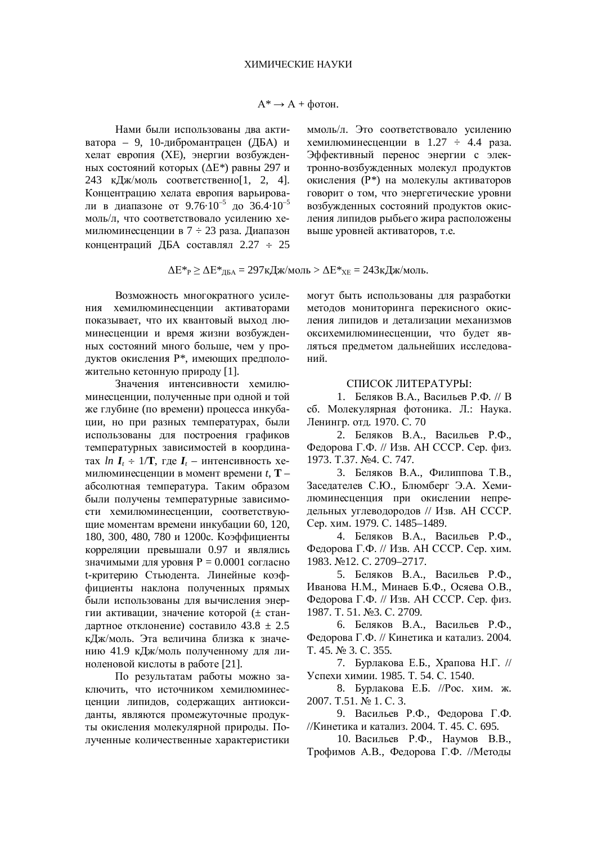Нами были использованы лва активатора – 9, 10-дибромантрацен (ДБА) и хелат европия (XE), энергии возбужденных состояний которых ( $\Delta E^*$ ) равны 297 и 243 кДж/моль соответственно[1, 2, 4]. Концентрацию хелата европия варьировали в диапазоне от 9.76 $\cdot 10^{-5}$  до 36.4 $\cdot 10^{-5}$ моль/л, что соответствовало усилению хемилюминесценции в 7 ÷ 23 раза. Диапазон концентраций ЛБА составлял  $2.27 \div 25$  ммоль/л. Это соответствовало усилению хемилюминесценции в 1.27 ÷ 4.4 раза. Эффективный перенос энергии с электронно-возбужденных молекул продуктов окисления (Р\*) на молекулы активаторов говорит о том, что энергетические уровни возбужденных состояний продуктов окисления липидов рыбьего жира расположены выше уровней активаторов, т.е.

$$
\Delta E^*_{P} \ge \Delta E^*_{ABA} = 297 \kappa \Lambda w \text{ and } \Delta E^*_{XE} = 243 \kappa \Lambda w \text{ and }.
$$

Возможность многократного усиления хемилюминесценции активаторами показывает, что их квантовый выход люминесценции и время жизни возбужденных состояний много больше, чем у продуктов окисления P<sup>\*</sup>, имеющих предположительно кетонную природу [1].

Значения интенсивности хемилюминесценции, полученные при одной и той же глубине (по времени) процесса инкубации, но при разных температурах, были использованы для построения графиков температурных зависимостей в координа- $\text{tax } \ln I_t \div 1/\mathbf{T}$ , где  $I_t$  – интенсивность хе-МИЛЮМИНЕСЦЕНЦИИ В МОМЕНТ ВРЕМЕНИ t, **T** – абсолютная температура. Таким образом были получены температурные зависимости хемилюминесценции, соответствующие моментам времени инкубации 60, 120, 180, 300, 480, 780 и 1200с. Коэффициенты корреляции превышали 0.97 и являлись значимыми для уровня P = 0.0001 согласно t-критерию Стьюдента. Линейные коэффишиенты наклона полученных прямых были использованы для вычисления энергии активации, значение которой (± стандартное отклонение) составило  $43.8 \pm 2.5$ кДж/моль. Эта величина близка к значению 41.9 кДж/моль полученному для линоленовой кислоты в работе [21].

По результатам работы можно заключить, что источником хемилюминесценции липидов, содержащих антиоксиданты, являются промежуточные продукты окисления молекулярной природы. Полученные количественные характеристики могут быть использованы для разработки методов мониторинга перекисного окисления липидов и детализации механизмов оксихемилюминесценции, что будет являться предметом дальнейших исследований.

## СПИСОК ЛИТЕРАТУРЫ:

1. Беляков В.А., Васильев Р.Ф. // В сб. Молекулярная фотоника. Л.: Наука. Ленингр. отд. 1970. С. 70

2. Беляков В.А., Васильев Р.Ф., Федорова Г.Ф. // Изв. АН СССР. Сер. физ. 1973. T.37. №4. C. 747.

3. Беляков В.А., Филиппова Т.В., Заседателев С.Ю., Блюмберг Э.А. Хемилюминесценция при окислении непредельных углеводородов // Изв. АН СССР. Сер. хим. 1979. С. 1485–1489.

4. Беляков В.А., Васильев Р.Ф., Федорова Г.Ф. // Изв. АН СССР. Сер. хим. 1983. №12. C. 2709–2717.

5. Беляков В.А., Васильев Р.Ф., Иванова Н.М., Минаев Б.Ф., Осяева О.В., Федорова Г.Ф. // Изв. АН СССР. Сер. физ. 1987. T. 51. №3. C. 2709.

6. Беляков В.А., Васильев Р.Ф., Федорова Г.Ф. // Кинетика и катализ. 2004. T. 45. № 3. C. 355.

7. Бурлакова Е.Б., Храпова Н.Г. // Успехи химии. 1985. Т. 54. С. 1540.

8. Бурлакова Е.Б. //Рос. хим. ж. 2007. T.51. № 1. C. 3.

9. Васильев Р.Ф., Федорова Г.Ф. //Кинетика и катализ. 2004. Т. 45. С. 695.

10. Васильев Р.Ф., Наумов В.В., Трофимов А.В., Федорова Г.Ф. //Методы